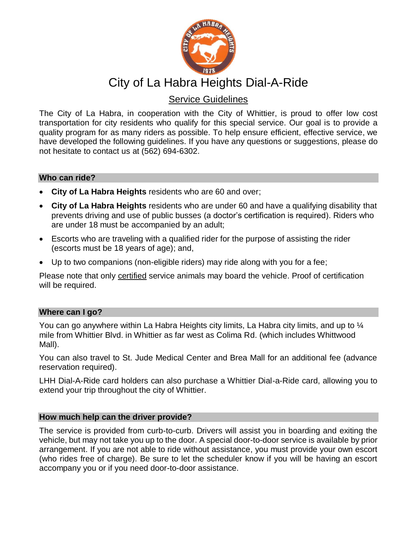

# City of La Habra Heights Dial-A-Ride

# Service Guidelines

The City of La Habra, in cooperation with the City of Whittier, is proud to offer low cost transportation for city residents who qualify for this special service. Our goal is to provide a quality program for as many riders as possible. To help ensure efficient, effective service, we have developed the following guidelines. If you have any questions or suggestions, please do not hesitate to contact us at (562) 694-6302.

### **Who can ride?**

- **City of La Habra Heights** residents who are 60 and over;
- **City of La Habra Heights** residents who are under 60 and have a qualifying disability that prevents driving and use of public busses (a doctor's certification is required). Riders who are under 18 must be accompanied by an adult;
- Escorts who are traveling with a qualified rider for the purpose of assisting the rider (escorts must be 18 years of age); and,
- Up to two companions (non-eligible riders) may ride along with you for a fee;

Please note that only certified service animals may board the vehicle. Proof of certification will be required.

# **Where can I go?**

You can go anywhere within La Habra Heights city limits, La Habra city limits, and up to ¼ mile from Whittier Blvd. in Whittier as far west as Colima Rd. (which includes Whittwood Mall).

You can also travel to St. Jude Medical Center and Brea Mall for an additional fee (advance reservation required).

LHH Dial-A-Ride card holders can also purchase a Whittier Dial-a-Ride card, allowing you to extend your trip throughout the city of Whittier.

# **How much help can the driver provide?**

The service is provided from curb-to-curb. Drivers will assist you in boarding and exiting the vehicle, but may not take you up to the door. A special door-to-door service is available by prior arrangement. If you are not able to ride without assistance, you must provide your own escort (who rides free of charge). Be sure to let the scheduler know if you will be having an escort accompany you or if you need door-to-door assistance.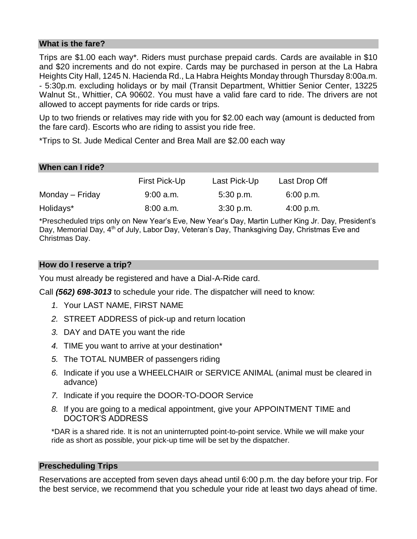### **What is the fare?**

Trips are \$1.00 each way\*. Riders must purchase prepaid cards. Cards are available in \$10 and \$20 increments and do not expire. Cards may be purchased in person at the La Habra Heights City Hall, 1245 N. Hacienda Rd., La Habra Heights Monday through Thursday 8:00a.m. - 5:30p.m. excluding holidays or by mail (Transit Department, Whittier Senior Center, 13225 Walnut St., Whittier, CA 90602. You must have a valid fare card to ride. The drivers are not allowed to accept payments for ride cards or trips.

Up to two friends or relatives may ride with you for \$2.00 each way (amount is deducted from the fare card). Escorts who are riding to assist you ride free.

\*Trips to St. Jude Medical Center and Brea Mall are \$2.00 each way

| When can I ride? |               |              |               |  |
|------------------|---------------|--------------|---------------|--|
|                  | First Pick-Up | Last Pick-Up | Last Drop Off |  |
| Monday – Friday  | $9:00$ a.m.   | $5:30$ p.m.  | 6:00 p.m.     |  |
| Holidays*        | 8:00 a.m.     | $3:30$ p.m.  | $4:00$ p.m.   |  |

\*Prescheduled trips only on New Year's Eve, New Year's Day, Martin Luther King Jr. Day, President's Day, Memorial Day, 4<sup>th</sup> of July, Labor Day, Veteran's Day, Thanksgiving Day, Christmas Eve and Christmas Day.

#### **How do I reserve a trip?**

You must already be registered and have a Dial-A-Ride card.

Call *(562) 698-3013* to schedule your ride. The dispatcher will need to know:

- *1.* Your LAST NAME, FIRST NAME
- *2.* STREET ADDRESS of pick-up and return location
- *3.* DAY and DATE you want the ride
- *4.* TIME you want to arrive at your destination\*
- *5.* The TOTAL NUMBER of passengers riding
- *6.* Indicate if you use a WHEELCHAIR or SERVICE ANIMAL (animal must be cleared in advance)
- *7.* Indicate if you require the DOOR-TO-DOOR Service
- *8.* If you are going to a medical appointment, give your APPOINTMENT TIME and DOCTOR'S ADDRESS

\*DAR is a shared ride. It is not an uninterrupted point-to-point service. While we will make your ride as short as possible, your pick-up time will be set by the dispatcher.

#### **Prescheduling Trips**

Reservations are accepted from seven days ahead until 6:00 p.m. the day before your trip. For the best service, we recommend that you schedule your ride at least two days ahead of time.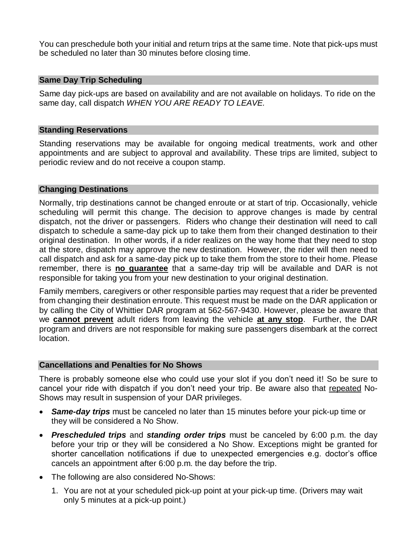You can preschedule both your initial and return trips at the same time. Note that pick-ups must be scheduled no later than 30 minutes before closing time.

#### **Same Day Trip Scheduling**

Same day pick-ups are based on availability and are not available on holidays. To ride on the same day, call dispatch *WHEN YOU ARE READY TO LEAVE.*

#### **Standing Reservations**

Standing reservations may be available for ongoing medical treatments, work and other appointments and are subject to approval and availability. These trips are limited, subject to periodic review and do not receive a coupon stamp.

#### **Changing Destinations**

Normally, trip destinations cannot be changed enroute or at start of trip. Occasionally, vehicle scheduling will permit this change. The decision to approve changes is made by central dispatch, not the driver or passengers. Riders who change their destination will need to call dispatch to schedule a same-day pick up to take them from their changed destination to their original destination. In other words, if a rider realizes on the way home that they need to stop at the store, dispatch may approve the new destination. However, the rider will then need to call dispatch and ask for a same-day pick up to take them from the store to their home. Please remember, there is **no guarantee** that a same-day trip will be available and DAR is not responsible for taking you from your new destination to your original destination.

Family members, caregivers or other responsible parties may request that a rider be prevented from changing their destination enroute. This request must be made on the DAR application or by calling the City of Whittier DAR program at 562-567-9430. However, please be aware that we **cannot prevent** adult riders from leaving the vehicle **at any stop**. Further, the DAR program and drivers are not responsible for making sure passengers disembark at the correct location.

#### **Cancellations and Penalties for No Shows**

There is probably someone else who could use your slot if you don't need it! So be sure to cancel your ride with dispatch if you don't need your trip. Be aware also that repeated No-Shows may result in suspension of your DAR privileges.

- *Same-day trips* must be canceled no later than 15 minutes before your pick-up time or they will be considered a No Show.
- *Prescheduled trips* and *standing order trips* must be canceled by 6:00 p.m. the day before your trip or they will be considered a No Show. Exceptions might be granted for shorter cancellation notifications if due to unexpected emergencies e.g. doctor's office cancels an appointment after 6:00 p.m. the day before the trip.
- The following are also considered No-Shows:
	- 1. You are not at your scheduled pick-up point at your pick-up time. (Drivers may wait only 5 minutes at a pick-up point.)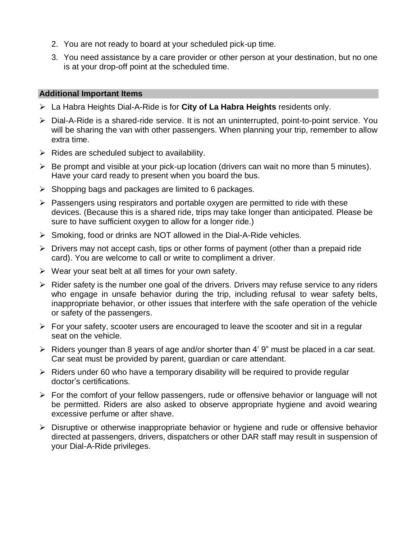- 2. You are not ready to board at your scheduled pick-up time.
- 3. You need assistance by a care provider or other person at your destination, but no one is at your drop-off point at the scheduled time.

#### **Additional Important Items**

- La Habra Heights Dial-A-Ride is for **City of La Habra Heights** residents only.
- Dial-A-Ride is a shared-ride service. It is not an uninterrupted, point-to-point service. You will be sharing the van with other passengers. When planning your trip, remember to allow extra time.
- $\triangleright$  Rides are scheduled subject to availability.
- $\triangleright$  Be prompt and visible at your pick-up location (drivers can wait no more than 5 minutes). Have your card ready to present when you board the bus.
- $\triangleright$  Shopping bags and packages are limited to 6 packages.
- $\triangleright$  Passengers using respirators and portable oxygen are permitted to ride with these devices. (Because this is a shared ride, trips may take longer than anticipated. Please be sure to have sufficient oxygen to allow for a longer ride.)
- $\triangleright$  Smoking, food or drinks are NOT allowed in the Dial-A-Ride vehicles.
- $\triangleright$  Drivers may not accept cash, tips or other forms of payment (other than a prepaid ride card). You are welcome to call or write to compliment a driver.
- $\triangleright$  Wear your seat belt at all times for your own safety.
- $\triangleright$  Rider safety is the number one goal of the drivers. Drivers may refuse service to any riders who engage in unsafe behavior during the trip, including refusal to wear safety belts, inappropriate behavior, or other issues that interfere with the safe operation of the vehicle or safety of the passengers.
- $\triangleright$  For your safety, scooter users are encouraged to leave the scooter and sit in a regular seat on the vehicle.
- $\triangleright$  Riders younger than 8 years of age and/or shorter than 4' 9" must be placed in a car seat. Car seat must be provided by parent, guardian or care attendant.
- $\triangleright$  Riders under 60 who have a temporary disability will be required to provide regular doctor's certifications.
- $\triangleright$  For the comfort of your fellow passengers, rude or offensive behavior or language will not be permitted. Riders are also asked to observe appropriate hygiene and avoid wearing excessive perfume or after shave.
- $\triangleright$  Disruptive or otherwise inappropriate behavior or hygiene and rude or offensive behavior directed at passengers, drivers, dispatchers or other DAR staff may result in suspension of your Dial-A-Ride privileges.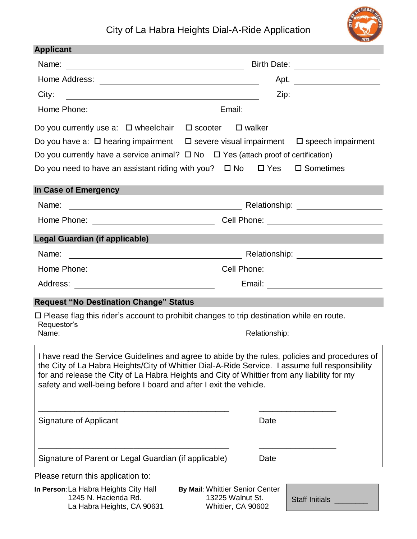# City of La Habra Heights Dial-A-Ride Application



| <b>Applicant</b>                   |                                                                                                                                                                                                   |                                      |  |
|------------------------------------|---------------------------------------------------------------------------------------------------------------------------------------------------------------------------------------------------|--------------------------------------|--|
| Name:                              | <u> 1989 - Johann Stoff, deutscher Stoffen und der Stoffen und der Stoffen und der Stoffen und der Stoffen und der</u>                                                                            |                                      |  |
|                                    |                                                                                                                                                                                                   | Apt.                                 |  |
| City:                              |                                                                                                                                                                                                   | Zip:                                 |  |
| Home Phone:                        | <u> Alexandria de la contexta de la contexta de la contexta de la contexta de la contexta de la contexta de la c</u>                                                                              |                                      |  |
|                                    | Do you currently use a: $\Box$ wheelchair $\Box$ scooter<br>$\square$ walker                                                                                                                      |                                      |  |
|                                    | Do you have a: $\Box$ hearing impairment $\Box$ severe visual impairment $\Box$ speech impairment                                                                                                 |                                      |  |
|                                    | Do you currently have a service animal? $\Box$ No $\Box$ Yes (attach proof of certification)                                                                                                      |                                      |  |
|                                    | Do you need to have an assistant riding with you? $\Box$ No $\Box$ Yes                                                                                                                            | $\square$ Sometimes                  |  |
| In Case of Emergency               |                                                                                                                                                                                                   |                                      |  |
| Name:                              |                                                                                                                                                                                                   |                                      |  |
|                                    |                                                                                                                                                                                                   |                                      |  |
| Legal Guardian (if applicable)     |                                                                                                                                                                                                   |                                      |  |
| Name:                              |                                                                                                                                                                                                   |                                      |  |
|                                    |                                                                                                                                                                                                   |                                      |  |
|                                    |                                                                                                                                                                                                   |                                      |  |
|                                    | <b>Request "No Destination Change" Status</b>                                                                                                                                                     |                                      |  |
|                                    | $\Box$ Please flag this rider's account to prohibit changes to trip destination while en route.                                                                                                   |                                      |  |
| Requestor's<br>Name:               | Relationship:                                                                                                                                                                                     |                                      |  |
|                                    |                                                                                                                                                                                                   |                                      |  |
|                                    | I have read the Service Guidelines and agree to abide by the rules, policies and procedures of<br>the City of La Habra Heights/City of Whittier Dial-A-Ride Service. I assume full responsibility |                                      |  |
|                                    | for and release the City of La Habra Heights and City of Whittier from any liability for my                                                                                                       |                                      |  |
|                                    | safety and well-being before I board and after I exit the vehicle.                                                                                                                                |                                      |  |
|                                    |                                                                                                                                                                                                   |                                      |  |
| Signature of Applicant             |                                                                                                                                                                                                   | Date                                 |  |
|                                    |                                                                                                                                                                                                   |                                      |  |
|                                    | Signature of Parent or Legal Guardian (if applicable)                                                                                                                                             | Date                                 |  |
| Please return this application to: |                                                                                                                                                                                                   |                                      |  |
|                                    | In Person: La Habra Heights City Hall<br>By Mail: Whittier Senior Center<br>1245 N. Hacienda Rd.<br>13225 Walnut St.<br>La Habra Heights, CA 90631<br>Whittier, CA 90602                          | Staff Initials <b>Staff Initials</b> |  |